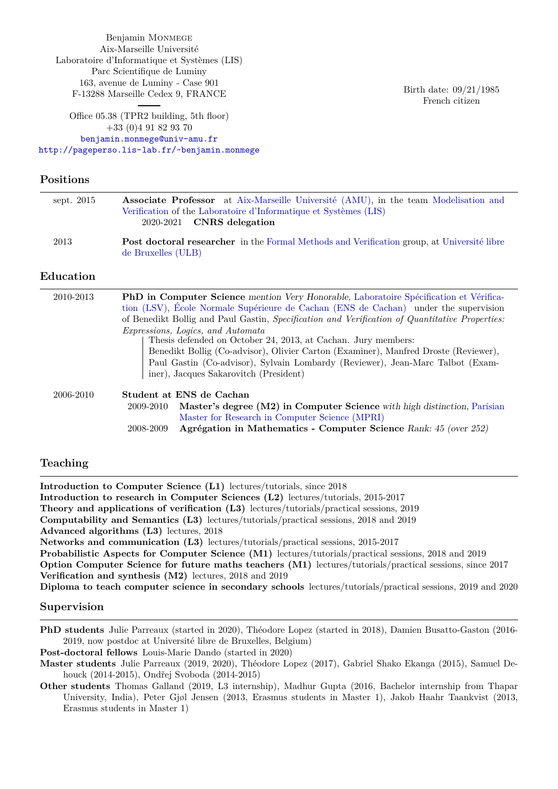Benjamin Monmege Aix-Marseille Université Laboratoire d'Informatique et Systèmes (LIS) Parc Scientifique de Luminy 163, avenue de Luminy - Case 901 F-13288 Marseille Cedex 9, FRANCE

Office 05.38 (TPR2 building, 5th floor) +33 (0)4 91 82 93 70 [benjamin.monmege@univ-amu.fr](mailto:benjamin.monmege@univ-amu.fr) <http://pageperso.lis-lab.fr/~benjamin.monmege> Birth date: 09/21/1985 French citizen

# **Positions**

| sept. 2015 | <b>Associate Professor</b> at Aix-Marseille Université (AMU), in the team Modelisation and                              |
|------------|-------------------------------------------------------------------------------------------------------------------------|
|            | Verification of the Laboratoire d'Informatique et Systèmes (LIS)                                                        |
|            | $2020-2021$ CNRS delegation                                                                                             |
| 2013       | <b>Post doctoral researcher</b> in the Formal Methods and Verification group, at Université libre<br>de Bruxelles (ULB) |

### **Education**

| 2010-2013 | PhD in Computer Science mention Very Honorable, Laboratoire Spécification et Vérifica-<br>tion (LSV), École Normale Supérieure de Cachan (ENS de Cachan) under the supervision<br>of Benedikt Bollig and Paul Gastin, Specification and Verification of Quantitative Properties: |
|-----------|----------------------------------------------------------------------------------------------------------------------------------------------------------------------------------------------------------------------------------------------------------------------------------|
|           | Expressions, Logics, and Automata                                                                                                                                                                                                                                                |
|           | Thesis defended on October 24, 2013, at Cachan. Jury members:                                                                                                                                                                                                                    |
|           | Benedikt Bollig (Co-advisor), Olivier Carton (Examiner), Manfred Droste (Reviewer),                                                                                                                                                                                              |
|           | Paul Gastin (Co-advisor), Sylvain Lombardy (Reviewer), Jean-Marc Talbot (Exam-                                                                                                                                                                                                   |
|           | iner), Jacques Sakarovitch (President)                                                                                                                                                                                                                                           |
| 2006-2010 | Student at ENS de Cachan                                                                                                                                                                                                                                                         |
|           | Master's degree (M2) in Computer Science with high distinction, Parisian<br>2009-2010                                                                                                                                                                                            |
|           | Master for Research in Computer Science (MPRI)                                                                                                                                                                                                                                   |
|           | Agrégation in Mathematics - Computer Science Rank: 45 (over 252)<br>2008-2009                                                                                                                                                                                                    |
|           |                                                                                                                                                                                                                                                                                  |

## **Teaching**

**Introduction to Computer Science (L1)** lectures/tutorials, since 2018 **Introduction to research in Computer Sciences (L2)** lectures/tutorials, 2015-2017 **Theory and applications of verification (L3)** lectures/tutorials/practical sessions, 2019 **Computability and Semantics (L3)** lectures/tutorials/practical sessions, 2018 and 2019 **Advanced algorithms (L3)** lectures, 2018 **Networks and communication (L3)** lectures/tutorials/practical sessions, 2015-2017 **Probabilistic Aspects for Computer Science (M1)** lectures/tutorials/practical sessions, 2018 and 2019 **Option Computer Science for future maths teachers (M1)** lectures/tutorials/practical sessions, since 2017 **Verification and synthesis (M2)** lectures, 2018 and 2019 **Diploma to teach computer science in secondary schools** lectures/tutorials/practical sessions, 2019 and 2020

#### **Supervision**

**PhD students** Julie Parreaux (started in 2020), Théodore Lopez (started in 2018), Damien Busatto-Gaston (2016- 2019, now postdoc at Université libre de Bruxelles, Belgium)

**Post-doctoral fellows** Louis-Marie Dando (started in 2020)

**Master students** Julie Parreaux (2019, 2020), Théodore Lopez (2017), Gabriel Shako Ekanga (2015), Samuel Dehouck (2014-2015), Ondřej Svoboda (2014-2015)

**Other students** Thomas Galland (2019, L3 internship), Madhur Gupta (2016, Bachelor internship from Thapar University, India), Peter Gjøl Jensen (2013, Erasmus students in Master 1), Jakob Haahr Taankvist (2013, Erasmus students in Master 1)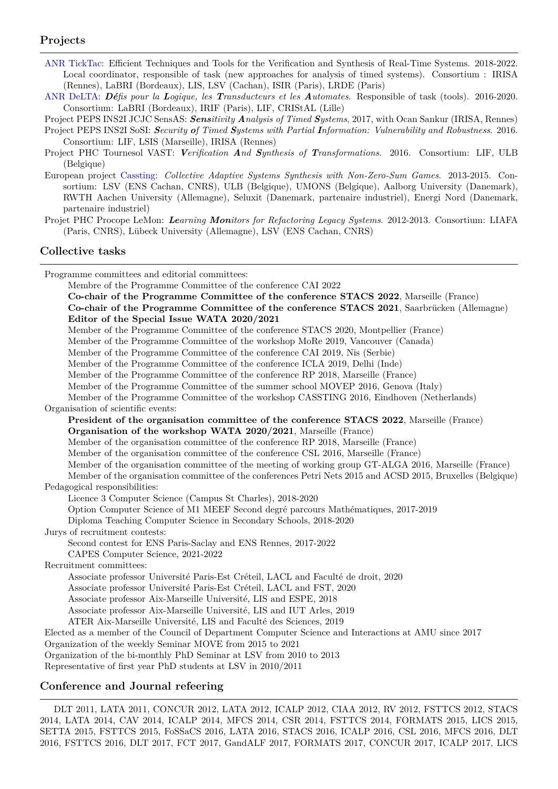### **Projects**

- [ANR TickTac:](http://www.irisa.fr/sumo/ticktac/) Efficient Techniques and Tools for the Verification and Synthesis of Real-Time Systems. 2018-2022. Local coordinator, responsible of task (new approaches for analysis of timed systems). Consortium : IRISA (Rennes), LaBRI (Bordeaux), LIS, LSV (Cachan), ISIR (Paris), LRDE (Paris)
- [ANR DeLTA:](http://delta.labri.fr) *Défis pour la Logique, les Transducteurs et les Automates*. Responsible of task (tools). 2016-2020. Consortium: LaBRI (Bordeaux), IRIF (Paris), LIF, CRIStAL (Lille)

Project PEPS INS2I JCJC SensAS: *Sensitivity Analysis of Timed Systems*, 2017, with Ocan Sankur (IRISA, Rennes)

- Project PEPS INS2I SoSI: *Security of Timed Systems with Partial Information: Vulnerability and Robustness*. 2016. Consortium: LIF, LSIS (Marseille), IRISA (Rennes)
- Project PHC Tournesol VAST: *Verification And Synthesis of Transformations*. 2016. Consortium: LIF, ULB (Belgique)
- European project [Cassting:](http://www.cassting-project.eu/) *Collective Adaptive Systems Synthesis with Non-Zero-Sum Games*. 2013-2015. Consortium: LSV (ENS Cachan, CNRS), ULB (Belgique), UMONS (Belgique), Aalborg University (Danemark), RWTH Aachen University (Allemagne), Seluxit (Danemark, partenaire industriel), Energi Nord (Danemark, partenaire industriel)

Projet PHC Procope LeMon: *Learning Monitors for Refactoring Legacy Systems*. 2012-2013. Consortium: LIAFA (Paris, CNRS), Lübeck University (Allemagne), LSV (ENS Cachan, CNRS)

### **Collective tasks**

Programme committees and editorial committees:

Membre of the Programme Committee of the conference CAI 2022

**Co-chair of the Programme Committee of the conference STACS 2022**, Marseille (France)

**Co-chair of the Programme Committee of the conference STACS 2021**, Saarbrücken (Allemagne) **Editor of the Special Issue WATA 2020/2021**

Member of the Programme Committee of the conference STACS 2020, Montpellier (France)

Member of the Programme Committee of the workshop MoRe 2019, Vancouver (Canada)

Member of the Programme Committee of the conference CAI 2019, Nis (Serbie)

Member of the Programme Committee of the conference ICLA 2019, Delhi (Inde)

Member of the Programme Committee of the conference RP 2018, Marseille (France)

Member of the Programme Committee of the summer school MOVEP 2016, Genova (Italy)

Member of the Programme Committee of the workshop CASSTING 2016, Eindhoven (Netherlands)

Organisation of scientific events:

**President of the organisation committee of the conference STACS 2022**, Marseille (France) **Organisation of the workshop WATA 2020/2021**, Marseille (France)

Member of the organisation committee of the conference RP 2018, Marseille (France)

Member of the organisation committee of the conference CSL 2016, Marseille (France)

Member of the organisation committee of the meeting of working group GT-ALGA 2016, Marseille (France)

Member of the organisation committee of the conferences Petri Nets 2015 and ACSD 2015, Bruxelles (Belgique) Pedagogical responsibilities:

Licence 3 Computer Science (Campus St Charles), 2018-2020

Option Computer Science of M1 MEEF Second degré parcours Mathématiques, 2017-2019

Diploma Teaching Computer Science in Secondary Schools, 2018-2020

Jurys of recruitment contests:

Second contest for ENS Paris-Saclay and ENS Rennes, 2017-2022

CAPES Computer Science, 2021-2022

Recruitment committees:

Associate professor Université Paris-Est Créteil, LACL and Faculté de droit, 2020

Associate professor Université Paris-Est Créteil, LACL and FST, 2020

Associate professor Aix-Marseille Université, LIS and ESPE, 2018

Associate professor Aix-Marseille Université, LIS and IUT Arles, 2019

ATER Aix-Marseille Université, LIS and Faculté des Sciences, 2019

Elected as a member of the Council of Department Computer Science and Interactions at AMU since 2017

Organization of the weekly Seminar MOVE from 2015 to 2021

Organization of the bi-monthly PhD Seminar at LSV from 2010 to 2013

Representative of first year PhD students at LSV in 2010/2011

### **Conference and Journal refeering**

DLT 2011, LATA 2011, CONCUR 2012, LATA 2012, ICALP 2012, CIAA 2012, RV 2012, FSTTCS 2012, STACS 2014, LATA 2014, CAV 2014, ICALP 2014, MFCS 2014, CSR 2014, FSTTCS 2014, FORMATS 2015, LICS 2015, SETTA 2015, FSTTCS 2015, FoSSaCS 2016, LATA 2016, STACS 2016, ICALP 2016, CSL 2016, MFCS 2016, DLT 2016, FSTTCS 2016, DLT 2017, FCT 2017, GandALF 2017, FORMATS 2017, CONCUR 2017, ICALP 2017, LICS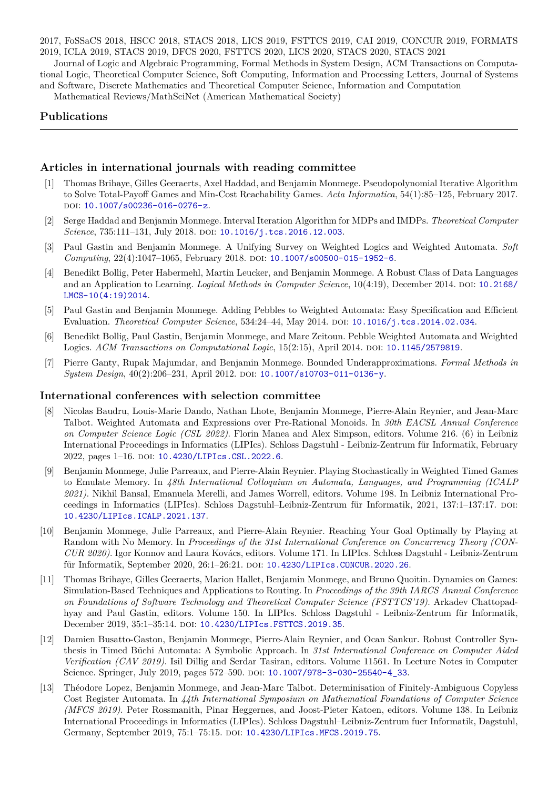2017, FoSSaCS 2018, HSCC 2018, STACS 2018, LICS 2019, FSTTCS 2019, CAI 2019, CONCUR 2019, FORMATS 2019, ICLA 2019, STACS 2019, DFCS 2020, FSTTCS 2020, LICS 2020, STACS 2020, STACS 2021

Journal of Logic and Algebraic Programming, Formal Methods in System Design, ACM Transactions on Computational Logic, Theoretical Computer Science, Soft Computing, Information and Processing Letters, Journal of Systems and Software, Discrete Mathematics and Theoretical Computer Science, Information and Computation

Mathematical Reviews/MathSciNet (American Mathematical Society)

# **Publications**

### **Articles in international journals with reading committee**

- [1] Thomas Brihaye, Gilles Geeraerts, Axel Haddad, and Benjamin Monmege. Pseudopolynomial Iterative Algorithm to Solve Total-Payoff Games and Min-Cost Reachability Games. *Acta Informatica*, 54(1):85–125, February 2017. DOI: [10.1007/s00236-016-0276-z](https://doi.org/10.1007/s00236-016-0276-z).
- [2] Serge Haddad and Benjamin Monmege. Interval Iteration Algorithm for MDPs and IMDPs. *Theoretical Computer Science*, 735:111-131, July 2018. DOI: [10.1016/j.tcs.2016.12.003](https://doi.org/10.1016/j.tcs.2016.12.003).
- [3] Paul Gastin and Benjamin Monmege. A Unifying Survey on Weighted Logics and Weighted Automata. *Soft Computing*, 22(4):1047-1065, February 2018. DOI: [10.1007/s00500-015-1952-6](https://doi.org/10.1007/s00500-015-1952-6).
- [4] Benedikt Bollig, Peter Habermehl, Martin Leucker, and Benjamin Monmege. A Robust Class of Data Languages and an Application to Learning. *Logical Methods in Computer Science*, 10(4:19), December 2014. poi: [10.2168/](https://doi.org/10.2168/LMCS-10(4:19)2014) [LMCS-10\(4:19\)2014](https://doi.org/10.2168/LMCS-10(4:19)2014).
- [5] Paul Gastin and Benjamin Monmege. Adding Pebbles to Weighted Automata: Easy Specification and Efficient Evaluation. *Theoretical Computer Science*, 534:24-44, May 2014. DOI: [10.1016/j.tcs.2014.02.034](https://doi.org/10.1016/j.tcs.2014.02.034).
- [6] Benedikt Bollig, Paul Gastin, Benjamin Monmege, and Marc Zeitoun. Pebble Weighted Automata and Weighted Logics. *ACM Transactions on Computational Logic*, 15(2:15), April 2014. DOI: [10.1145/2579819](https://doi.org/10.1145/2579819).
- [7] Pierre Ganty, Rupak Majumdar, and Benjamin Monmege. Bounded Underapproximations. *Formal Methods in System Design*, 40(2):206-231, April 2012. DOI: [10.1007/s10703-011-0136-y](https://doi.org/10.1007/s10703-011-0136-y).

#### **International conferences with selection committee**

- [8] Nicolas Baudru, Louis-Marie Dando, Nathan Lhote, Benjamin Monmege, Pierre-Alain Reynier, and Jean-Marc Talbot. Weighted Automata and Expressions over Pre-Rational Monoids. In *30th EACSL Annual Conference on Computer Science Logic (CSL 2022)*. Florin Manea and Alex Simpson, editors. Volume 216. (6) in Leibniz International Proceedings in Informatics (LIPIcs). Schloss Dagstuhl - Leibniz-Zentrum für Informatik, February 2022, pages 1–16. doi: [10.4230/LIPIcs.CSL.2022.6](https://doi.org/10.4230/LIPIcs.CSL.2022.6).
- [9] Benjamin Monmege, Julie Parreaux, and Pierre-Alain Reynier. Playing Stochastically in Weighted Timed Games to Emulate Memory. In *48th International Colloquium on Automata, Languages, and Programming (ICALP 2021)*. Nikhil Bansal, Emanuela Merelli, and James Worrell, editors. Volume 198. In Leibniz International Proceedings in Informatics (LIPIcs). Schloss Dagstuhl–Leibniz-Zentrum für Informatik, 2021, 137:1–137:17. doi: [10.4230/LIPIcs.ICALP.2021.137](https://doi.org/10.4230/LIPIcs.ICALP.2021.137).
- [10] Benjamin Monmege, Julie Parreaux, and Pierre-Alain Reynier. Reaching Your Goal Optimally by Playing at Random with No Memory. In *Proceedings of the 31st International Conference on Concurrency Theory (CON-CUR 2020)*. Igor Konnov and Laura Kovács, editors. Volume 171. In LIPIcs. Schloss Dagstuhl - Leibniz-Zentrum für Informatik, September 2020, 26:1–26:21. doi: [10.4230/LIPIcs.CONCUR.2020.26](https://doi.org/10.4230/LIPIcs.CONCUR.2020.26).
- [11] Thomas Brihaye, Gilles Geeraerts, Marion Hallet, Benjamin Monmege, and Bruno Quoitin. Dynamics on Games: Simulation-Based Techniques and Applications to Routing. In *Proceedings of the 39th IARCS Annual Conference on Foundations of Software Technology and Theoretical Computer Science (FSTTCS'19)*. Arkadev Chattopadhyay and Paul Gastin, editors. Volume 150. In LIPIcs. Schloss Dagstuhl - Leibniz-Zentrum für Informatik, December 2019, 35:1–35:14. doi: [10.4230/LIPIcs.FSTTCS.2019.35](https://doi.org/10.4230/LIPIcs.FSTTCS.2019.35).
- [12] Damien Busatto-Gaston, Benjamin Monmege, Pierre-Alain Reynier, and Ocan Sankur. Robust Controller Synthesis in Timed Büchi Automata: A Symbolic Approach. In *31st International Conference on Computer Aided Verification (CAV 2019)*. Isil Dillig and Serdar Tasiran, editors. Volume 11561. In Lecture Notes in Computer Science. Springer, July 2019, pages 572–590. DOI: 10.1007/978-3-030-25540-4 33.
- [13] Théodore Lopez, Benjamin Monmege, and Jean-Marc Talbot. Determinisation of Finitely-Ambiguous Copyless Cost Register Automata. In *44th International Symposium on Mathematical Foundations of Computer Science (MFCS 2019)*. Peter Rossmanith, Pinar Heggernes, and Joost-Pieter Katoen, editors. Volume 138. In Leibniz International Proceedings in Informatics (LIPIcs). Schloss Dagstuhl–Leibniz-Zentrum fuer Informatik, Dagstuhl, Germany, September 2019, 75:1–75:15. doi: [10.4230/LIPIcs.MFCS.2019.75](https://doi.org/10.4230/LIPIcs.MFCS.2019.75).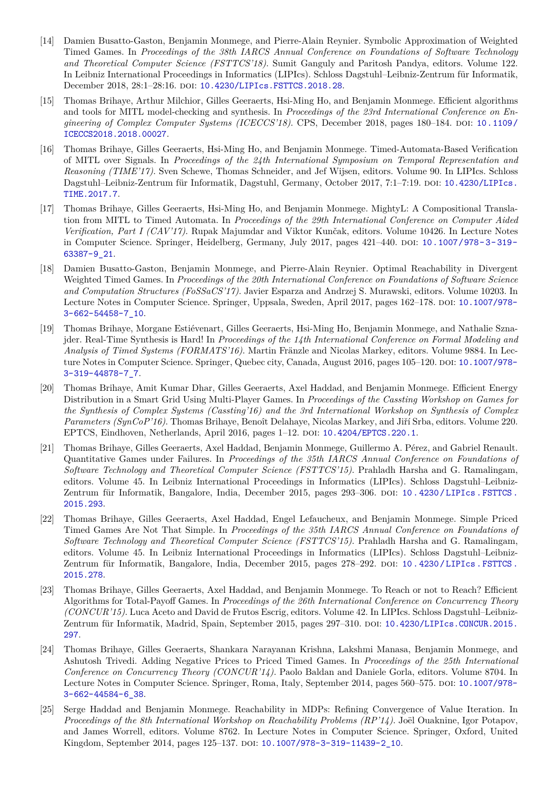- [14] Damien Busatto-Gaston, Benjamin Monmege, and Pierre-Alain Reynier. Symbolic Approximation of Weighted Timed Games. In *Proceedings of the 38th IARCS Annual Conference on Foundations of Software Technology and Theoretical Computer Science (FSTTCS'18)*. Sumit Ganguly and Paritosh Pandya, editors. Volume 122. In Leibniz International Proceedings in Informatics (LIPIcs). Schloss Dagstuhl–Leibniz-Zentrum für Informatik, December 2018, 28:1–28:16. doi: [10.4230/LIPIcs.FSTTCS.2018.28](https://doi.org/10.4230/LIPIcs.FSTTCS.2018.28).
- [15] Thomas Brihaye, Arthur Milchior, Gilles Geeraerts, Hsi-Ming Ho, and Benjamin Monmege. Efficient algorithms and tools for MITL model-checking and synthesis. In *Proceedings of the 23rd International Conference on Engineering of Complex Computer Systems (ICECCS'18)*. CPS, December 2018, pages 180–184. poi: [10.1109/](https://doi.org/10.1109/ICECCS2018.2018.00027) [ICECCS2018.2018.00027](https://doi.org/10.1109/ICECCS2018.2018.00027).
- [16] Thomas Brihaye, Gilles Geeraerts, Hsi-Ming Ho, and Benjamin Monmege. Timed-Automata-Based Verification of MITL over Signals. In *Proceedings of the 24th International Symposium on Temporal Representation and Reasoning (TIME'17)*. Sven Schewe, Thomas Schneider, and Jef Wijsen, editors. Volume 90. In LIPIcs. Schloss Dagstuhl–Leibniz-Zentrum für Informatik, Dagstuhl, Germany, October 2017, 7:1–7:19. DOI: [10.4230/LIPIcs.](https://doi.org/10.4230/LIPIcs.TIME.2017.7) [TIME.2017.7](https://doi.org/10.4230/LIPIcs.TIME.2017.7).
- [17] Thomas Brihaye, Gilles Geeraerts, Hsi-Ming Ho, and Benjamin Monmege. MightyL: A Compositional Translation from MITL to Timed Automata. In *Proceedings of the 29th International Conference on Computer Aided Verification, Part I (CAV'17)*. Rupak Majumdar and Viktor Kunčak, editors. Volume 10426. In Lecture Notes in Computer Science. Springer, Heidelberg, Germany, July 2017, pages 421–440. DOI: 10.1007/978-3-319-[63387-9\\_21](https://doi.org/10.1007/978-3-319-63387-9_21).
- [18] Damien Busatto-Gaston, Benjamin Monmege, and Pierre-Alain Reynier. Optimal Reachability in Divergent Weighted Timed Games. In *Proceedings of the 20th International Conference on Foundations of Software Science and Computation Structures (FoSSaCS'17)*. Javier Esparza and Andrzej S. Murawski, editors. Volume 10203. In Lecture Notes in Computer Science. Springer, Uppsala, Sweden, April 2017, pages 162–178. DOI: [10.1007/978-](https://doi.org/10.1007/978-3-662-54458-7_10) [3-662-54458-7\\_10](https://doi.org/10.1007/978-3-662-54458-7_10).
- [19] Thomas Brihaye, Morgane Estiévenart, Gilles Geeraerts, Hsi-Ming Ho, Benjamin Monmege, and Nathalie Sznajder. Real-Time Synthesis is Hard! In *Proceedings of the 14th International Conference on Formal Modeling and Analysis of Timed Systems (FORMATS'16)*. Martin Fränzle and Nicolas Markey, editors. Volume 9884. In Lec-ture Notes in Computer Science. Springer, Quebec city, Canada, August 2016, pages 105–120. DOI: [10.1007/978-](https://doi.org/10.1007/978-3-319-44878-7_7) [3-319-44878-7\\_7](https://doi.org/10.1007/978-3-319-44878-7_7).
- [20] Thomas Brihaye, Amit Kumar Dhar, Gilles Geeraerts, Axel Haddad, and Benjamin Monmege. Efficient Energy Distribution in a Smart Grid Using Multi-Player Games. In *Proceedings of the Cassting Workshop on Games for the Synthesis of Complex Systems (Cassting'16) and the 3rd International Workshop on Synthesis of Complex Parameters (SynCoP'16)*. Thomas Brihaye, Benoît Delahaye, Nicolas Markey, and Jiří Srba, editors. Volume 220. EPTCS, Eindhoven, Netherlands, April 2016, pages 1–12. doi: [10.4204/EPTCS.220.1](https://doi.org/10.4204/EPTCS.220.1).
- [21] Thomas Brihaye, Gilles Geeraerts, Axel Haddad, Benjamin Monmege, Guillermo A. Pérez, and Gabriel Renault. Quantitative Games under Failures. In *Proceedings of the 35th IARCS Annual Conference on Foundations of Software Technology and Theoretical Computer Science (FSTTCS'15)*. Prahladh Harsha and G. Ramalingam, editors. Volume 45. In Leibniz International Proceedings in Informatics (LIPIcs). Schloss Dagstuhl–Leibniz-Zentrum für Informatik, Bangalore, India, December 2015, pages 293-306. DOI: 10.4230/LIPIcs. FSTTCS. [2015.293](https://doi.org/10.4230/LIPIcs.FSTTCS.2015.293).
- [22] Thomas Brihaye, Gilles Geeraerts, Axel Haddad, Engel Lefaucheux, and Benjamin Monmege. Simple Priced Timed Games Are Not That Simple. In *Proceedings of the 35th IARCS Annual Conference on Foundations of Software Technology and Theoretical Computer Science (FSTTCS'15)*. Prahladh Harsha and G. Ramalingam, editors. Volume 45. In Leibniz International Proceedings in Informatics (LIPIcs). Schloss Dagstuhl–Leibniz-Zentrum für Informatik, Bangalore, India, December 2015, pages 278–292. DOI: 10.4230/LIPIcs. FSTTCS. [2015.278](https://doi.org/10.4230/LIPIcs.FSTTCS.2015.278).
- [23] Thomas Brihaye, Gilles Geeraerts, Axel Haddad, and Benjamin Monmege. To Reach or not to Reach? Efficient Algorithms for Total-Payoff Games. In *Proceedings of the 26th International Conference on Concurrency Theory (CONCUR'15)*. Luca Aceto and David de Frutos Escrig, editors. Volume 42. In LIPIcs. Schloss Dagstuhl–Leibniz-Zentrum für Informatik, Madrid, Spain, September 2015, pages 297-310. DOI: [10.4230/LIPIcs.CONCUR.2015.](https://doi.org/10.4230/LIPIcs.CONCUR.2015.297) [297](https://doi.org/10.4230/LIPIcs.CONCUR.2015.297).
- [24] Thomas Brihaye, Gilles Geeraerts, Shankara Narayanan Krishna, Lakshmi Manasa, Benjamin Monmege, and Ashutosh Trivedi. Adding Negative Prices to Priced Timed Games. In *Proceedings of the 25th International Conference on Concurrency Theory (CONCUR'14)*. Paolo Baldan and Daniele Gorla, editors. Volume 8704. In Lecture Notes in Computer Science. Springer, Roma, Italy, September 2014, pages 560–575. DOI: [10.1007/978-](https://doi.org/10.1007/978-3-662-44584-6_38) [3-662-44584-6\\_38](https://doi.org/10.1007/978-3-662-44584-6_38).
- [25] Serge Haddad and Benjamin Monmege. Reachability in MDPs: Refining Convergence of Value Iteration. In *Proceedings of the 8th International Workshop on Reachability Problems (RP'14)*. Joël Ouaknine, Igor Potapov, and James Worrell, editors. Volume 8762. In Lecture Notes in Computer Science. Springer, Oxford, United Kingdom, September 2014, pages 125-137. DOI: [10.1007/978-3-319-11439-2\\_10](https://doi.org/10.1007/978-3-319-11439-2_10).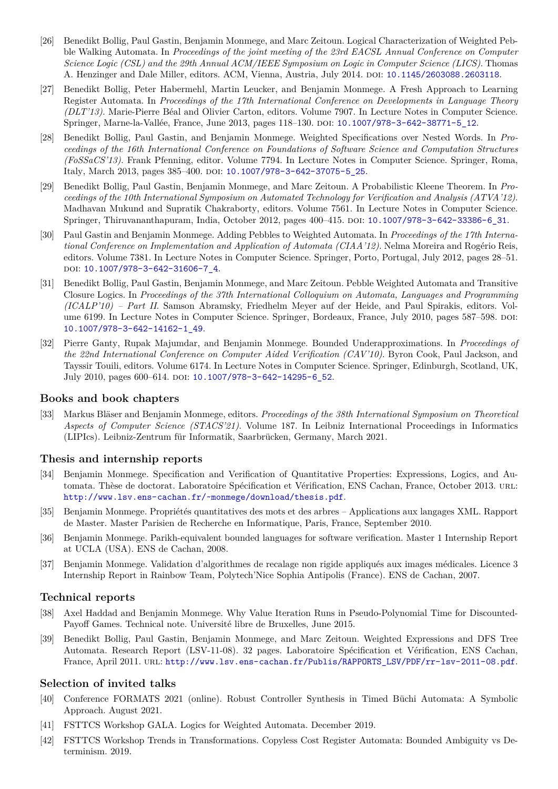- [26] Benedikt Bollig, Paul Gastin, Benjamin Monmege, and Marc Zeitoun. Logical Characterization of Weighted Pebble Walking Automata. In *Proceedings of the joint meeting of the 23rd EACSL Annual Conference on Computer Science Logic (CSL) and the 29th Annual ACM/IEEE Symposium on Logic in Computer Science (LICS)*. Thomas A. Henzinger and Dale Miller, editors. ACM, Vienna, Austria, July 2014. poi: [10.1145/2603088.2603118](https://doi.org/10.1145/2603088.2603118).
- [27] Benedikt Bollig, Peter Habermehl, Martin Leucker, and Benjamin Monmege. A Fresh Approach to Learning Register Automata. In *Proceedings of the 17th International Conference on Developments in Language Theory (DLT'13)*. Marie-Pierre Béal and Olivier Carton, editors. Volume 7907. In Lecture Notes in Computer Science. Springer, Marne-la-Vallée, France, June 2013, pages 118–130. DoI: 10.1007/978-3-642-38771-5 12.
- [28] Benedikt Bollig, Paul Gastin, and Benjamin Monmege. Weighted Specifications over Nested Words. In *Proceedings of the 16th International Conference on Foundations of Software Science and Computation Structures (FoSSaCS'13)*. Frank Pfenning, editor. Volume 7794. In Lecture Notes in Computer Science. Springer, Roma, Italy, March 2013, pages 385-400. DOI: 10.1007/978-3-642-37075-5 25.
- [29] Benedikt Bollig, Paul Gastin, Benjamin Monmege, and Marc Zeitoun. A Probabilistic Kleene Theorem. In *Proceedings of the 10th International Symposium on Automated Technology for Verification and Analysis (ATVA'12)*. Madhavan Mukund and Supratik Chakraborty, editors. Volume 7561. In Lecture Notes in Computer Science. Springer, Thiruvananthapuram, India, October 2012, pages 400-415. DOI: [10.1007/978-3-642-33386-6\\_31](https://doi.org/10.1007/978-3-642-33386-6_31).
- [30] Paul Gastin and Benjamin Monmege. Adding Pebbles to Weighted Automata. In *Proceedings of the 17th International Conference on Implementation and Application of Automata (CIAA'12)*. Nelma Moreira and Rogério Reis, editors. Volume 7381. In Lecture Notes in Computer Science. Springer, Porto, Portugal, July 2012, pages 28–51. doi: [10.1007/978-3-642-31606-7\\_4](https://doi.org/10.1007/978-3-642-31606-7_4).
- [31] Benedikt Bollig, Paul Gastin, Benjamin Monmege, and Marc Zeitoun. Pebble Weighted Automata and Transitive Closure Logics. In *Proceedings of the 37th International Colloquium on Automata, Languages and Programming (ICALP'10) – Part II*. Samson Abramsky, Friedhelm Meyer auf der Heide, and Paul Spirakis, editors. Volume 6199. In Lecture Notes in Computer Science. Springer, Bordeaux, France, July 2010, pages 587–598. poi: [10.1007/978-3-642-14162-1\\_49](https://doi.org/10.1007/978-3-642-14162-1_49).
- [32] Pierre Ganty, Rupak Majumdar, and Benjamin Monmege. Bounded Underapproximations. In *Proceedings of the 22nd International Conference on Computer Aided Verification (CAV'10)*. Byron Cook, Paul Jackson, and Tayssir Touili, editors. Volume 6174. In Lecture Notes in Computer Science. Springer, Edinburgh, Scotland, UK, July 2010, pages 600-614. DOI: [10.1007/978-3-642-14295-6\\_52](https://doi.org/10.1007/978-3-642-14295-6_52).

### **Books and book chapters**

[33] Markus Bläser and Benjamin Monmege, editors. *Proceedings of the 38th International Symposium on Theoretical Aspects of Computer Science (STACS'21)*. Volume 187. In Leibniz International Proceedings in Informatics (LIPIcs). Leibniz-Zentrum für Informatik, Saarbrücken, Germany, March 2021.

### **Thesis and internship reports**

- [34] Benjamin Monmege. Specification and Verification of Quantitative Properties: Expressions, Logics, and Automata. Thèse de doctorat. Laboratoire Spécification et Vérification, ENS Cachan, France, October 2013. url: <http://www.lsv.ens-cachan.fr/~monmege/download/thesis.pdf>.
- [35] Benjamin Monmege. Propriétés quantitatives des mots et des arbres Applications aux langages XML. Rapport de Master. Master Parisien de Recherche en Informatique, Paris, France, September 2010.
- [36] Benjamin Monmege. Parikh-equivalent bounded languages for software verification. Master 1 Internship Report at UCLA (USA). ENS de Cachan, 2008.
- [37] Benjamin Monmege. Validation d'algorithmes de recalage non rigide appliqués aux images médicales. Licence 3 Internship Report in Rainbow Team, Polytech'Nice Sophia Antipolis (France). ENS de Cachan, 2007.

### **Technical reports**

- [38] Axel Haddad and Benjamin Monmege. Why Value Iteration Runs in Pseudo-Polynomial Time for Discounted-Payoff Games. Technical note. Université libre de Bruxelles, June 2015.
- [39] Benedikt Bollig, Paul Gastin, Benjamin Monmege, and Marc Zeitoun. Weighted Expressions and DFS Tree Automata. Research Report (LSV-11-08). 32 pages. Laboratoire Spécification et Vérification, ENS Cachan, France, April 2011. url: [http://www.lsv.ens-cachan.fr/Publis/RAPPORTS\\_LSV/PDF/rr-lsv-2011-08.pdf](http://www.lsv.ens-cachan.fr/Publis/RAPPORTS_LSV/PDF/rr-lsv-2011-08.pdf).

## **Selection of invited talks**

- [40] Conference FORMATS 2021 (online). Robust Controller Synthesis in Timed Büchi Automata: A Symbolic Approach. August 2021.
- [41] FSTTCS Workshop GALA. Logics for Weighted Automata. December 2019.
- [42] FSTTCS Workshop Trends in Transformations. Copyless Cost Register Automata: Bounded Ambiguity vs Determinism. 2019.